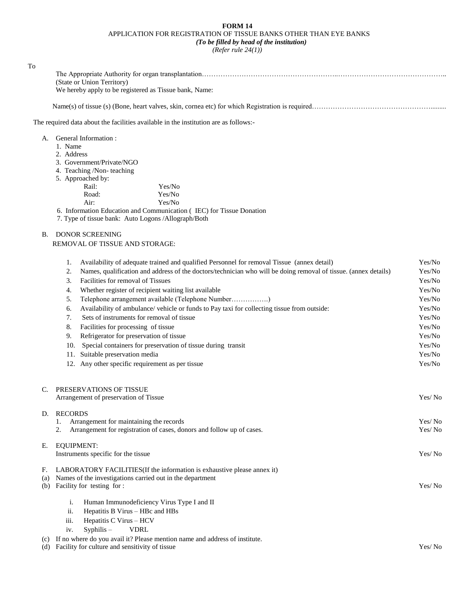## **FORM 14** APPLICATION FOR REGISTRATION OF TISSUE BANKS OTHER THAN EYE BANKS *(To be filled by head of the institution)*

*(Refer rule 24(1))*

| To  |                                                                                                                             |                  |
|-----|-----------------------------------------------------------------------------------------------------------------------------|------------------|
|     |                                                                                                                             |                  |
|     | (State or Union Territory)                                                                                                  |                  |
|     | We hereby apply to be registered as Tissue bank, Name:                                                                      |                  |
|     |                                                                                                                             |                  |
|     | The required data about the facilities available in the institution are as follows:-                                        |                  |
|     | A. General Information:                                                                                                     |                  |
|     | 1. Name                                                                                                                     |                  |
|     | 2. Address                                                                                                                  |                  |
|     | 3. Government/Private/NGO<br>4. Teaching /Non-teaching                                                                      |                  |
|     | 5. Approached by:                                                                                                           |                  |
|     | Rail:<br>Yes/No                                                                                                             |                  |
|     | Road:<br>Yes/No                                                                                                             |                  |
|     | Yes/No<br>Air:                                                                                                              |                  |
|     | 6. Information Education and Communication (IEC) for Tissue Donation<br>7. Type of tissue bank: Auto Logons /Allograph/Both |                  |
| В.  | <b>DONOR SCREENING</b>                                                                                                      |                  |
|     | REMOVAL OF TISSUE AND STORAGE:                                                                                              |                  |
|     | Availability of adequate trained and qualified Personnel for removal Tissue (annex detail)<br>1.                            | Yes/No           |
|     | Names, qualification and address of the doctors/technician who will be doing removal of tissue. (annex details)<br>2.       | Yes/No           |
|     | Facilities for removal of Tissues<br>3.                                                                                     | Yes/No           |
|     | Whether register of recipient waiting list available<br>4.                                                                  | Yes/No           |
|     | Telephone arrangement available (Telephone Number)<br>5.                                                                    | Yes/No           |
|     | Availability of ambulance/vehicle or funds to Pay taxi for collecting tissue from outside:<br>6.                            | Yes/No           |
|     | Sets of instruments for removal of tissue<br>7.                                                                             | Yes/No           |
|     | Facilities for processing of tissue<br>8.                                                                                   | Yes/No           |
|     | Refrigerator for preservation of tissue<br>9.                                                                               | Yes/No           |
|     | 10. Special containers for preservation of tissue during transit                                                            | Yes/No           |
|     | 11. Suitable preservation media<br>12. Any other specific requirement as per tissue                                         | Yes/No<br>Yes/No |
|     |                                                                                                                             |                  |
| C.  | PRESERVATIONS OF TISSUE<br>Arrangement of preservation of Tissue                                                            | Yes/No           |
|     |                                                                                                                             |                  |
| D.  | <b>RECORDS</b><br>Arrangement for maintaining the records<br>1.                                                             | Yes/No           |
|     | Arrangement for registration of cases, donors and follow up of cases.<br>2.                                                 | Yes/No           |
|     |                                                                                                                             |                  |
| Е.  | <b>EQUIPMENT:</b>                                                                                                           | Yes/No           |
|     | Instruments specific for the tissue                                                                                         |                  |
| F.  | LABORATORY FACILITIES (If the information is exhaustive please annex it)                                                    |                  |
| (a) | Names of the investigations carried out in the department                                                                   |                  |
|     | (b) Facility for testing for :                                                                                              | Yes/No           |
|     | Human Immunodeficiency Virus Type I and II<br>i.                                                                            |                  |
|     | Hepatitis B Virus - HBc and HBs<br>ii.                                                                                      |                  |
|     | Hepatitis C Virus - HCV<br>iii.                                                                                             |                  |
|     | $S$ yphilis $-$<br><b>VDRL</b><br>iv.                                                                                       |                  |
| (c) | If no where do you avail it? Please mention name and address of institute.                                                  |                  |
| (d) | Facility for culture and sensitivity of tissue                                                                              | Yes/No           |
|     |                                                                                                                             |                  |